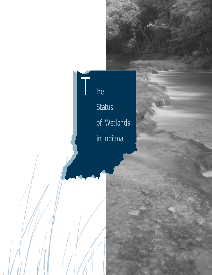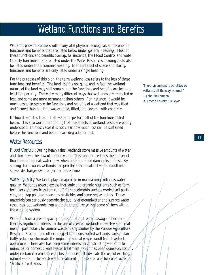## Wetland Functions and Benefits

Wetlands provide Hoosiers with many vital physical, ecological, and economic functions and benefits that are listed below under general headings. Most of these functions and benefits overlap; for instance, the *Flood Control* and *Water Quality* functions that are listed under the *Water Resources* heading could also be listed under the *Economic* heading. In the interest of space and clarity, functions and benefits are only listed under a single heading.

For the purposes of this plan, the term *wetland loss* refers to the loss of these functions and benefits. The land itself is not gone, and in fact the wetland nature of the land may still remain, but the functions and benefits are lost—at least temporarily. There are many different ways that wetlands are impacted or *lost*, and some are more permanent than others. For instance, it would be much easier to restore the functions and benefits of a wetland that was tiled and farmed than one that was drained, filled, and covered with concrete.

It should be noted that not all wetlands perform all of the functions listed below. It is also worth mentioning that the effects of wetland losses are poorly understood. In most cases it is not clear how much loss can be sustained before the functions and benefits are degraded or lost.

## Water Resources

Flood Control: During heavy rains, wetlands store massive amounts of water and slow down the flow of surface water. This function reduces the danger of flooding during peak water flow, when potential flood damage is highest. By storing storm water, wetlands dampen the sharp peaks of water runoff into slower discharges over longer periods of time.

Water Quality: Wetlands play a major role in maintaining Indiana's water quality. Wetlands absorb excess inorganic and organic nutrients such as farm fertilizers and septic system runoff, filter sediments such as eroded soil particles, and trap pollutants such as pesticides and some heavy metals. These materials can seriously degrade the quality of groundwater and surface water resources, but wetlands trap and hold them, "recycling" some of them within the wetland system.

Wetlands have a great capacity for assimilating treated sewage. Therefore, there is significant interest in the use of created wetlands in wastewater treatment—particularly for animal waste. Early studies by the Purdue Agricultural Research Program and others suggest that constructed wetlands can substantially reduce or eliminate the impact of animal waste runoff from livestock operations. There also has been some interest in constructing wetlands for municipal or domestic wastewater treatment, which has been done successfully under certain circumstances. This plan does not advocate the use of existing, natural wetlands for wastewater treatment—these are roles for constructed or "artificial" wetlands.

*"The environment is benefited by wetlands all the way around." —John McNamara, St. Joseph County Surveyor*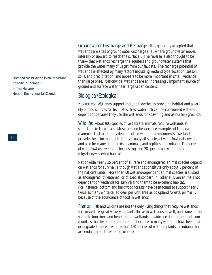*"Wetland conservation is an important priority in Indiana." —Tim Maloney, Hoosier Environmental Council*

Groundwater Discharge and Recharge: It is generally accepted that wetlands are sites of groundwater discharge (i.e., where groundwater moves laterally or upward to reach the surface). The reverse is also thought to be true—that wetlands recharge the aquifers and groundwater systems that provide the water many of us get from our faucets. The recharge potential of wetlands is affected by many factors including wetland type, location, season, soils, and precipitation, and appears to be more important in small wetlands than large ones. Nationwide, wetlands are an increasingly important source of ground and surface water near large urban centers.

## Biological/Ecological

Fisheries: Wetlands support Indiana fisheries by providing habitat and a variety of food sources for fish. Most freshwater fish can be considered wetlanddependent because they use the wetlands for spawning and as nursery grounds.

Wildlife: About 900 species of vertebrate animals require wetlands at some time in their lives. Muskrats and beavers are examples of Indiana mammals that are totally dependent on wetland environments. Wetlands provide the principal habitat for virtually all species of waterfowl nationwide, and also for many other birds, mammals, and reptiles. In Indiana, 11 species of waterfowl use wetlands for nesting, and 28 species use wetlands as migration/wintering habitat.

Nationwide nearly 35 percent of all rare and endangered animal species depend on wetlands for survival, although wetlands constitute only about 5 percent of the nation's lands. More than 60 wetland-dependent animal species are listed as endangered, threatened, or of special concern in Indiana. Even animals not dependent on wetlands for survival find them to be excellent habitat. For instance, bottomland hardwood forests have been found to support nearly twice as many white-tailed deer per unit area as do upland forests, primarily because of the abundance of food in wetlands.

Plants: Fish and wildlife are not the only living things that require wetlands for survival. A great variety of plants thrive in wetlands as well, and some of the valuable functions and benefits that wetlands provide are due to the plant communities that live there. In addition, because so many wetlands have been lost or degraded, there are more than 120 species of wetland plants in Indiana that are endangered, threatened, or rare.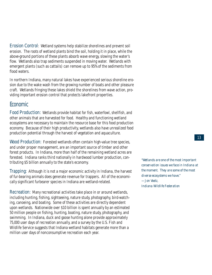Erosion Control: Wetland systems help stabilize shorelines and prevent soil erosion. The roots of wetland plants bind the soil, holding it in place, while the above-ground portions of these plants absorb wave energy, slowing the water's flow. Wetlands also trap sediments suspended in moving water. Wetlands with emergent plants (such as cattails) can remove up to 95% of the sediments from flood waters.

In northern Indiana, many natural lakes have experienced serious shoreline erosion due to the wake wash from the growing number of boats and other pleasure craft. Wetlands fringing these lakes shield the shorelines from wave action, providing important erosion control that protects lakefront properties.

## Economic

Food Production: Wetlands provide habitat for fish, waterfowl, shellfish, and other animals that are harvested for food. Healthy and functioning wetland ecosystems are necessary to maintain the resource base for this food production economy. Because of their high productivity, wetlands also have unrealized food production potential through the harvest of vegetation and aquaculture.

Wood Production: Forested wetlands often contain high-value tree species, and under proper management, are an important source of timber and other forest products. In Indiana, more than half of the remaining wetland acres are forested. Indiana ranks third nationally in hardwood lumber production, contributing \$5 billion annually to the state's economy.

Trapping: Although it is not a major economic activity in Indiana, the harvest of fur-bearing animals does generate revenue for trappers. All of the economically significant furbearer species in Indiana are wetland-related.

Recreation: Many recreational activities take place in or around wetlands, including hunting, fishing, sightseeing, nature study, photography, bird-watching, canoeing, and boating. Some of these activities are directly dependent upon wetlands. Nationwide over \$10 billion is spent annually by an estimated 50 million people on fishing, hunting, boating, nature study, photography, and swimming. In Indiana, duck and goose hunting alone provide approximately 75,000 user days of recreation annually, and a survey by the U.S. Fish and Wildlife Service suggests that Indiana wetland habitats generate more than a million user days of nonconsumptive recreation each year.

*"Wetlands are one of the most important conservation issues we face in Indiana at the moment. They are some of the most diverse ecosystems we have." —Jon Voelz, Indiana Wildlife Federation*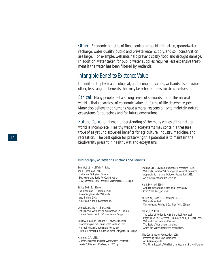Other: Economic benefits of flood control, drought mitigation, groundwater recharge, water quality, public and private water supply, and soil conservation are large. For example, wetlands help prevent costly flood and drought damage. In addition, water taken for public water supplies requires less expensive treatment if the water has been filtered by wetlands.

## Intangible Benefits/Existence Value

In addition to physical, ecological, and economic values, wetlands also provide other, less tangible benefits that may be referred to as *existence* values.

Ethical: Many people feel a strong sense of stewardship for the natural world—that regardless of economic value, all forms of life deserve respect. Many also believe that humans have a moral responsibility to maintain natural ecosystems for ourselves and for future generations.

Future Options: Human understanding of the many values of the natural world is incomplete. Healthy wetland ecosystems may contain a treasure trove of as yet undiscovered benefits for agriculture, industry, medicine, and recreation. The best option for preserving this potential is to maintain the biodiversity present in healthy wetland ecosystems.

#### *Bibliography on Wetland Functions and Benefits*

Bennet, J., J. McElfish, A. Bale, and R. Fischman. 1995. *Indiana's Biological Diversity: Strategies and Tools for Conservation.* Environmental Law Institute. Washington, DC. 78 pp.

Burke, D.G., E.J. Meyers, R.W. Tiner, and H. Groman. 1988. *Protecting Nontidal Wetlands.* Washington, D.C.: American Planning Association.

Demissie, M. and A. Khan. 1993. *Influence of Wetlands on Streamflow in Illinois.*  Illinois Department of Conservation. 54 pp.

DuBowy, Paul and Richard P. Reaves, eds. 1994. *Proceedings of the Constructed Wetlands for Animal Waste Management Workshop.*  Purdue Research Foundation, West Lafayette, IN. 188 pp.

Hammer, D.A. 1989. *Constructed Wetlands for Wastewater Treatment.*  Lewis Publishers. Chelsea, MI 831 pp.

Indiana DNR, Division of Outdoor Recreation. 1989. *Wetlands...Indiana's Endangered Natural Resource. Appendix to Indiana Outdoor Recreation 1989: An Assessment and Policy Plan.*

Kent, D.M., ed. 1994. *Applied Wetlands Science and Technology.*  CRC Press, Inc., pp 55-78.

Mitsch, W.J., and J.G. Gosselink. 1993. *Wetlands.* 2nd ed. Van Nostrand Reinhold Co., New York. 539 pp.

Odum, E.P. 1978. The Value of Wetlands: A Hierarchical Approach. Pages 16-25 in P. Greeson, J.R. Clark, and J.E. Clark, eds. *Wetland Functions and Values: The State of Our Understanding.*  American Water Resources Association.

The Conservation Foundation. 1988. *Protecting America's Wetlands: An Action Agenda. The Final Report of the National Wetlands Policy Forum.*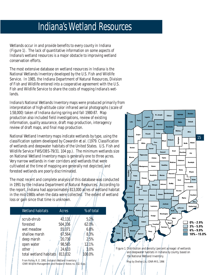# Indiana's Wetland Resources

Wetlands occur in and provide benefits to every county in Indiana (Figure 1). The lack of quantitative information on some aspects of Indiana's wetland resources is a major obstacle to improving wetland conservation efforts.

The most extensive database on wetland resources in Indiana is the National Wetlands Inventory developed by the U.S. Fish and Wildlife Service. In 1985, the Indiana Department of Natural Resources, Division of Fish and Wildlife entered into a cooperative agreement with the U.S. Fish and Wildlife Service to share the costs of mapping Indiana's wetlands.

Indiana's National Wetlands Inventory maps were produced primarily from interpretation of high-altitude color infrared aerial photographs (scale of 1:58,000) taken of Indiana during spring and fall 1980-87. Map production also included field investigations, review of existing information, quality assurance, draft map production, interagency review of draft maps, and final map production.

National Wetland Inventory maps indicate wetlands by type, using the classification system developed by Cowardin *et al*. (1979. Classification of wetlands and deepwater habitats of the United States. U.S. Fish and Wildlife Service FWS/OBS-79/31. 104 pp.). The minimum wetlands size on National Wetland Inventory maps is generally one to three acres. Very narrow wetlands in river corridors and wetlands that were cultivated at the time of mapping are generally not depicted, and forested wetlands are poorly discriminated.

The most recent and complete analysis of this database was conducted in 1991 by the Indiana Department of Natural Resources. According to the report, Indiana had approximately 813,000 acres of wetland habitat in the mid-1980s when the data were collected. The extent of wetland loss or gain since that time is unknown.

| <b>Wetland habitats</b> | <b>Acres</b> | % of total |
|-------------------------|--------------|------------|
| scrub-shrub             | 42,131       | 5.2%       |
| forested                | 504,336      | 62.0%      |
| wet meadow              | 55,071       | 6.8%       |
| shallow marsh           | 67,564       | 8.3%       |
| deep marsh              | 20,730       | 2.5%       |
| open water              | 98,565       | 12.1%      |
| other                   | 24,633       | 3.0%       |
| total wetland habitats  | 813,032      | 100.0%     |
|                         |              |            |

From Rolley, R. E. 1991. Indiana's Wetland Inventory. IDNR Wildlife Management and Research Notes no. 532. 6 pp.





Map by Shelley Liu, IDNR-MIS, 1996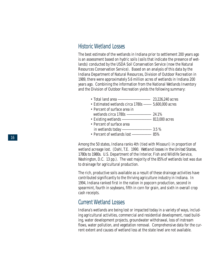## Historic Wetland Losses

The best estimate of the wetlands in Indiana prior to settlement 200 years ago is an assessment based on hydric soils (soils that indicate the presence of wetlands) conducted by the USDA Soil Conservation Service (now the Natural Resources Conservation Service). Based on an analysis of this data by the Indiana Department of Natural Resources, Division of Outdoor Recreation in 1989, there were approximately 5.6 million acres of wetlands in Indiana 200 years ago. Combining the information from the National Wetlands Inventory and the Division of Outdoor Recreation yields the following summary:

- Total land area -------------------------------- 23,226,240 acres
- Estimated wetlands circa 1780s -------- 5,600,000 acres
- Percent of surface area in wetlands circa 1780s ------------------------ 24.1% • Existing wetlands ----------------------------- 813,000 acres • Percent of surface area
- in wetlands today ----------------------------- 3.5 %
- Percent of wetlands lost ------------------- 85%

Among the 50 states, Indiana ranks 4th (tied with Missouri) in proportion of wetland acreage lost. (Dahl, T.E. 1990. *Wetland losses in the United States, 1780s to 1980s.* U.S. Department of the Interior, Fish and Wildlife Service, Washington, D.C. 13 pp.). The vast majority of the 85% of wetlands lost was due to drainage for agricultural production.

The rich, productive soils available as a result of these drainage activities have contributed significantly to the thriving agriculture industry in Indiana. In 1994, Indiana ranked first in the nation in popcorn production, second in spearmint, fourth in soybeans, fifth in corn for grain, and sixth in overall crop cash receipts.

## Current Wetland Losses

Indiana's wetlands are being lost or impacted today in a variety of ways, including agricultural activities, commercial and residential development, road building, water development projects, groundwater withdrawal, loss of instream flows, water pollution, and vegetation removal. Comprehensive data for the current extent and causes of wetland loss at the state level are not available.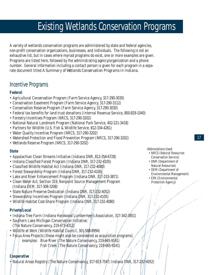# Existing Wetlands Conservation Programs

A variety of wetlands conservation programs are administered by state and federal agencies, non-profit conservation organizations, businesses, and individuals. The following is not an exhaustive list, but in cases where myriad programs do exist, one or more examples are given. Programs are listed here, followed by the administrating agency/organization and a phone number. General information including a contact person is given for each program in a separate document titled *A Summary of Wetlands Conservation Programs in Indiana.*

## Incentive Programs

### **Federal**

- Agricultural Conservation Program (Farm Service Agency, 317-290-3030)
- Conservation Easement Program (Farm Service Agency, 317-290-3112)
- Conservation Reserve Program (Farm Service Agency, 317-290-3030)
- Federal tax benefits for land trust donations (Internal Revenue Service, 800-829-1040)
- Forestry Incentives Program (NRCS, 317-290-3202)
- National Natural Landmark Program (National Park Service, 402-221-3418)
- Partners for Wildlife (U.S. Fish & Wildlife Service, 812-334-4261)
- Water Quality Incentive Program (NRCS, 317-290-3202)
- Watershed Protection and Flood Prevention Program (NRCS, 317-290-3202)
- Wetlands Reserve Program (NRCS, 317-290-3202)

#### **State**

- Appalachian Clean Streams Initiative (Indiana DNR, 812-354-6728)
- Indiana Classified Forest Program (Indiana DNR, 317-232-4105)
- Classified Wildlife Habitat Act (Indiana DNR, 317-232-4080)
- Forest Stewardship Program (Indiana DNR, 317-232-4105)
- Lake and River Enhancement Program (Indiana DNR, 317-233-3871)
- Clean Water Act, Section 319, Nonpoint Source Management Program (Indiana DEM, 317-308-3208)
- State Nature Preserve Dedication (Indiana DNR, 317-232-4052)
- Stewardship Incentives Program (Indiana DNR, 317-232-4105)
- Wildlife Habitat Cost-Share Program (Indiana DNR, 317-232-4080)

### **Private/Local**

- Indiana Tree Farm (Indiana Hardwood Lumbermen's Association, 317-342-3851)
- Southern Lake Michigan Conservation Initiative (The Nature Conservancy, 219-473-4312)
- Wildlife at Work (Wildlife Habitat Council, 301-588-8994)
- Focus Area Projects (these might also be considered as acquisition programs) examples: Blue River (The Nature Conservancy, 219-665-9141) Fish Creek (The Nature Conservancy, 219-665-9141)

#### **Cooperative**

• Natural Areas Registry (The Nature Conservancy, 317-923-7547; Indiana DNR, 317-232-4052)

Abbreviations Used:

- NRCS (Natural Resources Conservation Service)
- DNR (Department of Natural Resources)
- DEM (Department of Environmental Management)
- EPA (Environmental Protection Agency)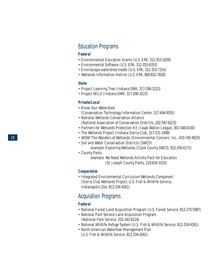## Education Programs

#### **Federal**

- Environmental Education Grants (U.S. EPA, 312-353-3209)
- Environmental Software (U.S. EPA, 312-353-6353)
- Enviroscape watershed model (U.S. EPA, 312-353-7314)
- Wetlands Information Hotline (U.S. EPA, 800-832-7828)

#### **State**

- Project Learning Tree (Indiana DNR, 317-290-3223)
- Project WILD (Indiana DNR, 317-290-3223)

#### **Private/Local**

- Know Your Watershed (Conservation Technology Information Center, 317-494-9555)
- National Wetlands Conservation Alliance (National Association of Conservation Districts, 202-547-6223)
- Partners for Wetlands Protection Kit (Izaak Walton League, 301-548-0150)
- The Wetlands Project (Indiana Sierra Club, 317-231-1908)
- WOW! The Wonders of Wetlands (Environmental Concern, Inc., 410-745-9620)
- Soil and Water Conservation Districts (SWCD)
	- example: Exploring Wetlands (Clark County SWCD, 812-256-6171)
- County Parks
	- example: We Need Wetlands Activity Pack for Educators (St. Joseph County Parks, 219-654-3155)

#### **Cooperative**

• Integrated Environmental Curriculum Wetlands Component (Sierra Club Wetlands Project, U.S. Fish & Wildlife Service, Indianapolis Zoo, 812-334-4261)

## Acquisition Programs

#### **Federal**

- National Forest Land Acquisition Program (U.S. Forest Service, 812-275-5987)
- National Park Service Land Acquisition Program (National Park Service, 202-343-8124)
- National Wildlife Refuge System (U.S. Fish & Wildlife Service, 812-334-4261)
- North American Waterfowl Management Plan (U.S. Fish & Wildlife Service, 812-334-4261)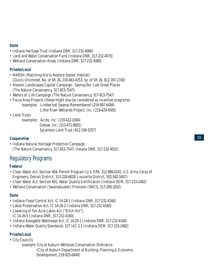#### **State**

- Indiana Heritage Trust (Indiana DNR, 317-232-4080)
- Land and Water Conservation Fund (Indiana DNR, 317-232-4070)
- Wetland Conservation Areas (Indiana DNR, 317-232-4080)

#### **Private/Local**

- MARSH (Matching Aid to Restore States' Habitat) (Ducks Unlimited, No. of SR 26, 219-463-4353; So. of SR 26, 812-397-2740)
- Hoosier Landscapes Capital Campaign: Saving *Our* Last Great Places (The Nature Conservancy, 317-923-7547)
- Waters of Life Campaign (The Nature Conservancy, 317-923-7547)
- Focus Area Projects (these might also be considered as incentive programs) examples: Limberlost Swamp Remembered (219-997-6494) Little River Wetlands Project, Inc. (219-429-4565)
- Land Trusts

examples: Acres, Inc. (219-422-1004) Oxbow, Inc. (513-471-8001) Sycamore Land Trust (812-336-5257)

#### **Cooperative**

• Indiana Natural Heritage Protection Campaign (The Nature Conservancy, 317-923-7547; Indiana DNR, 317-232-4052)

## Regulatory Programs

#### **Federal**

- Clean Water Act, Section 404, Permit Program (U.S. EPA, 312-886-0241; U.S. Army Corps of Engineers, Detroit District, 313-226-6828; Louisville District, 502-582-5607)
- Clean Water Act, Section 401, Water Quality Certification (Indiana DEM, 317-233-2482)
- Wetland Conservation (Swampbuster) Provision (NRCS, 317-290-3202)

#### **State**

- Indiana Flood Control Act, IC 14-28-1 (Indiana DNR, 317-232-4160)
- Lakes Preservation Act, IC 14-26-2 (Indiana DNR, 317-232-4160)
- Lowering of Ten Acre Lakes Act ("Ditch Act"), IC 14-26-5 (Indiana DNR, 317-232-4160)
- Indiana Navigable Waterways Act, IC 14-29-1 (Indiana DNR, 317-232-4160)
- Indiana Water Quality Standards, 327 IAC 2-1 (Indiana DEM, 317-233-2482)

#### **Private/Local**

- City Councils
	- example: City of Auburn Wetlands Conservation Ordinance

(City of Auburn Department of Building, Planning & Economic Development, 219-925-6449)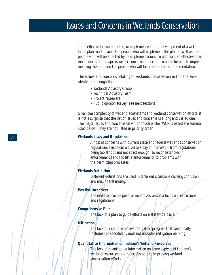## Issues and Concerns in Wetlands Conservation

To be effectively implemented, or implemented at all, development of a wetlands plan must involve the people who will implement the plan as well as the people who will be affected by its implementation. In addition, an effective plan must address the major issues or concerns important to both the people implementing the plan and the people who will be affected by its implementation.

The issues and concerns relating to wetlands conservation in Indiana were identified through the:

- Wetlands Advisory Group
- Technical Advisory Team
- Project reviewers
- Public opinion survey (see next section)

Given the complexity of wetland ecosystems and wetland conservation efforts, it is not a surprise that the list of issues and concerns is a long and varied one. The major issues and concerns on which much of the *IWCP* is based are summarized below. They are not listed in priority order.

#### **Wetlands Laws and Regulations**

A host of concerns with current state and federal wetlands conservation regulations exist from a diverse array of interests—from regulations being too strict (and not strict enough) to inconsistencies in enforcement (and too little enforcement) to problems with the permitting processes.

#### **Wetlands Definition**

Different definitions are used in different situations causing confusion and misunderstanding.

#### **Positive Incentives**

The need to provide positive incentives versus a focus on restrictions and regulations.

#### **Comprehensive Plan**

The lack of a plan to guide efforts on a statewide basis.

#### **Mitigation**

The lack of a comprehensive mitigation program that specifically includes (or specifically does not include) mitigation banking.

#### **Quantitative Information on Indiana's Wetland Resources**

The lack of quantitative information on some aspects of Indiana's wetland resources is a major obstacle to improving wetland conservation efforts.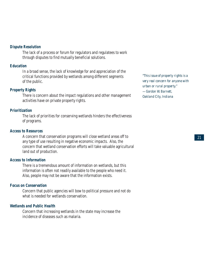#### **Dispute Resolution**

The lack of a process or forum for regulators and regulatees to work through disputes to find mutually beneficial solutions.

#### **Education**

In a broad sense, the lack of knowledge for and appreciation of the critical functions provided by wetlands among different segments of the public.

#### **Property Rights**

There is concern about the impact regulations and other management activities have on private property rights.

#### **Prioritization**

The lack of priorities for conserving wetlands hinders the effectiveness of programs.

#### **Access to Resources**

A concern that conservation programs will close wetland areas off to any type of use resulting in negative economic impacts. Also, the concern that wetland conservation efforts will take valuable agricultural land out of production.

#### **Access to Information**

There is a tremendous amount of information on wetlands, but this information is often not readily available to the people who need it. Also, people may not be aware that the information exists.

#### **Focus on Conservation**

Concern that public agencies will bow to political pressure and not do what is needed for wetlands conservation.

#### **Wetlands and Public Health**

Concern that increasing wetlands in the state may increase the incidence of diseases such as malaria.

*"This issue of property rights is a very real concern for anyone with urban or rural property." —Gordon W. Barnett, Oakland City, Indiana*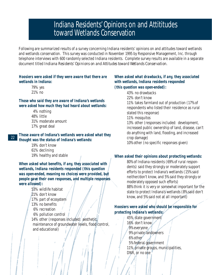## Indiana Residents' Opinions on and Attititudes toward Wetlands Conservation

Following are summarized results of a survey concerning Indiana residents' opinions on and attitudes toward wetlands and wetlands conservation. This survey was conducted in November 1995 by Responsive Management, Inc. through telephone interviews with 600 randomly selected Indiana residents. Complete survey results are available in a separate document titled *Indiana Residents' Opinions on and Attitudes toward Wetlands Conservation.*

#### **Hoosiers were asked if they were aware that there are wetlands in Indiana:**

79% yes 21% no

#### **Those who said they are aware of Indiana's wetlands were asked how much they had heard about wetlands:**

- 4% nothing
- 48% little
- 31% moderate amount
- 17% great deal

#### **Those aware of Indiana's wetlands were asked what they thought was the status of Indiana's wetlands:** 22

- 19% don't know 61% declining
- 19% healthy and stable

**When asked what benefits, if any, they associated with wetlands, Indiana residents responded (this question was open-ended, meaning no choices were provided, but people gave their own responses, and multiple responses were allowed):**

- 53% wildlife habitat
- 21% don't know
- 17% part of ecosystem
- 13% no benefits
- 6% recreation
- 6% pollution control

14% other (responses included: aesthetic, maintenance of groundwater levels, flood control, and educational)

#### **When asked what drawbacks, if any, they associated with wetlands, Indiana residents responded (this question was open-ended):**

43% no drawbacks 22% don't know 11% takes farmland out of production (17% of respondents who listed their residence as rural stated this response) 11% mosquitos 13% other (responses included: development, increased public ownership of land, disease, can't do anything with land, flooding, and increased crop damage) 10% other (no specific responses given)

#### **When asked their opinions about protecting wetlands:**

80% of Indiana residents (69% of rural respondents) said they strongly or moderately support efforts to protect Indiana's wetlands (15% said neither/don't know, and 5% said they strongly or moderately opposed such efforts) 88% think it is very or somewhat important for the state to protect Indiana's wetlands (8% said don't know, and 5% said not at all important)

### **Hoosiers were asked who should be responsible for protecting Indiana's wetlands:**

45% state government 16% don't know 9% everyone 9% private landowners 6% other 5% federal government 11% private groups, municipalities, DNR, or no one